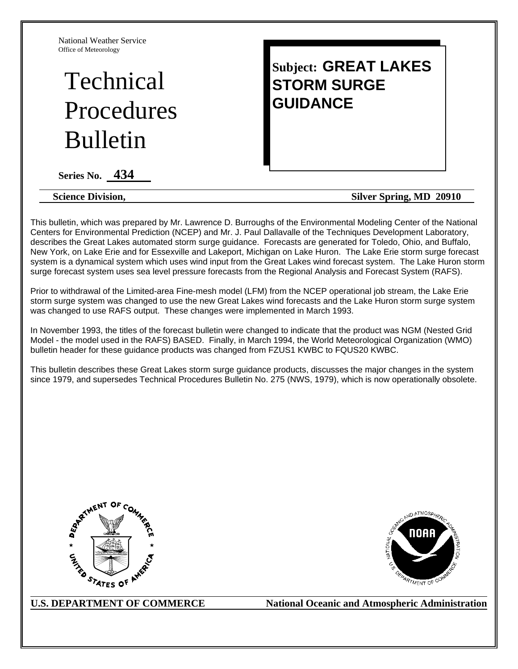National Weather Service Office of Meteorology

# Technical Procedures Bulletin

# **Subject: GREAT LAKES STORM SURGE GUIDANCE**

**Series No. 434** 

**Science Division, Silver Spring, MD 20910** 

This bulletin, which was prepared by Mr. Lawrence D. Burroughs of the Environmental Modeling Center of the National Centers for Environmental Prediction (NCEP) and Mr. J. Paul Dallavalle of the Techniques Development Laboratory, describes the Great Lakes automated storm surge guidance. Forecasts are generated for Toledo, Ohio, and Buffalo, New York, on Lake Erie and for Essexville and Lakeport, Michigan on Lake Huron. The Lake Erie storm surge forecast system is a dynamical system which uses wind input from the Great Lakes wind forecast system. The Lake Huron storm surge forecast system uses sea level pressure forecasts from the Regional Analysis and Forecast System (RAFS).

Prior to withdrawal of the Limited-area Fine-mesh model (LFM) from the NCEP operational job stream, the Lake Erie storm surge system was changed to use the new Great Lakes wind forecasts and the Lake Huron storm surge system was changed to use RAFS output. These changes were implemented in March 1993.

In November 1993, the titles of the forecast bulletin were changed to indicate that the product was NGM (Nested Grid Model - the model used in the RAFS) BASED. Finally, in March 1994, the World Meteorological Organization (WMO) bulletin header for these guidance products was changed from FZUS1 KWBC to FQUS20 KWBC.

This bulletin describes these Great Lakes storm surge guidance products, discusses the major changes in the system since 1979, and supersedes Technical Procedures Bulletin No. 275 (NWS, 1979), which is now operationally obsolete.





U.S. DEPARTMENT OF COMMERCE National Oceanic and Atmospheric Administration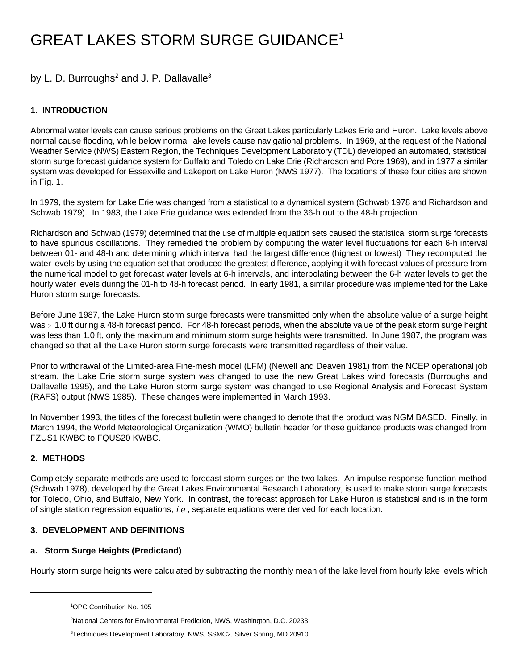# GREAT LAKES STORM SURGE GUIDANCE1

# by L. D. Burroughs<sup>2</sup> and J. P. Dallavalle<sup>3</sup>

## **1. INTRODUCTION**

Abnormal water levels can cause serious problems on the Great Lakes particularly Lakes Erie and Huron. Lake levels above normal cause flooding, while below normal lake levels cause navigational problems. In 1969, at the request of the National Weather Service (NWS) Eastern Region, the Techniques Development Laboratory (TDL) developed an automated, statistical storm surge forecast guidance system for Buffalo and Toledo on Lake Erie (Richardson and Pore 1969), and in 1977 a similar system was developed for Essexville and Lakeport on Lake Huron (NWS 1977). The locations of these four cities are shown in Fig. 1.

In 1979, the system for Lake Erie was changed from a statistical to a dynamical system (Schwab 1978 and Richardson and Schwab 1979). In 1983, the Lake Erie guidance was extended from the 36-h out to the 48-h projection.

Richardson and Schwab (1979) determined that the use of multiple equation sets caused the statistical storm surge forecasts to have spurious oscillations. They remedied the problem by computing the water level fluctuations for each 6-h interval between 01- and 48-h and determining which interval had the largest difference (highest or lowest) They recomputed the water levels by using the equation set that produced the greatest difference, applying it with forecast values of pressure from the numerical model to get forecast water levels at 6-h intervals, and interpolating between the 6-h water levels to get the hourly water levels during the 01-h to 48-h forecast period. In early 1981, a similar procedure was implemented for the Lake Huron storm surge forecasts.

Before June 1987, the Lake Huron storm surge forecasts were transmitted only when the absolute value of a surge height was  $\geq 1.0$  ft during a 48-h forecast period. For 48-h forecast periods, when the absolute value of the peak storm surge height was less than 1.0 ft, only the maximum and minimum storm surge heights were transmitted. In June 1987, the program was changed so that all the Lake Huron storm surge forecasts were transmitted regardless of their value.

Prior to withdrawal of the Limited-area Fine-mesh model (LFM) (Newell and Deaven 1981) from the NCEP operational job stream, the Lake Erie storm surge system was changed to use the new Great Lakes wind forecasts (Burroughs and Dallavalle 1995), and the Lake Huron storm surge system was changed to use Regional Analysis and Forecast System (RAFS) output (NWS 1985). These changes were implemented in March 1993.

In November 1993, the titles of the forecast bulletin were changed to denote that the product was NGM BASED. Finally, in March 1994, the World Meteorological Organization (WMO) bulletin header for these guidance products was changed from FZUS1 KWBC to FQUS20 KWBC.

## **2. METHODS**

Completely separate methods are used to forecast storm surges on the two lakes. An impulse response function method (Schwab 1978), developed by the Great Lakes Environmental Research Laboratory, is used to make storm surge forecasts for Toledo, Ohio, and Buffalo, New York. In contrast, the forecast approach for Lake Huron is statistical and is in the form of single station regression equations, i.e., separate equations were derived for each location.

#### **3. DEVELOPMENT AND DEFINITIONS**

#### **a. Storm Surge Heights (Predictand)**

Hourly storm surge heights were calculated by subtracting the monthly mean of the lake level from hourly lake levels which

<sup>&</sup>lt;sup>1</sup>OPC Contribution No. 105

<sup>&</sup>lt;sup>2</sup>National Centers for Environmental Prediction, NWS, Washington, D.C. 20233

<sup>&</sup>lt;sup>3</sup>Techniques Development Laboratory, NWS, SSMC2, Silver Spring, MD 20910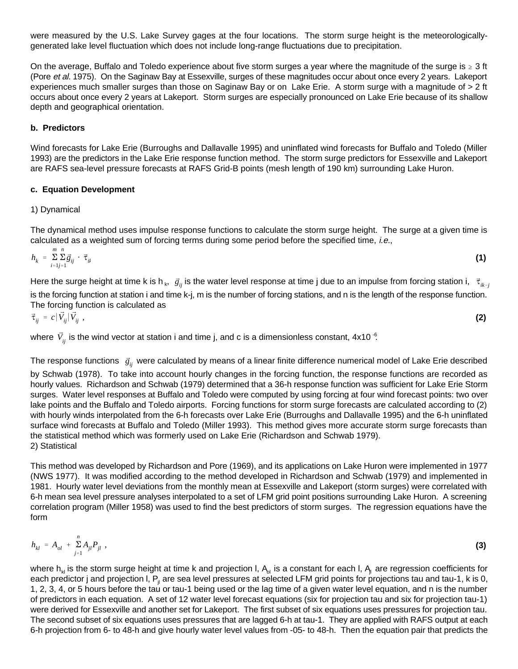were measured by the U.S. Lake Survey gages at the four locations. The storm surge height is the meteorologicallygenerated lake level fluctuation which does not include long-range fluctuations due to precipitation.

On the average, Buffalo and Toledo experience about five storm surges a year where the magnitude of the surge is  $\geq 3$  ft (Pore et al. 1975). On the Saginaw Bay at Essexville, surges of these magnitudes occur about once every 2 years. Lakeport experiences much smaller surges than those on Saginaw Bay or on Lake Erie. A storm surge with a magnitude of > 2 ft occurs about once every 2 years at Lakeport. Storm surges are especially pronounced on Lake Erie because of its shallow depth and geographical orientation.

#### **b. Predictors**

Wind forecasts for Lake Erie (Burroughs and Dallavalle 1995) and uninflated wind forecasts for Buffalo and Toledo (Miller 1993) are the predictors in the Lake Erie response function method. The storm surge predictors for Essexville and Lakeport are RAFS sea-level pressure forecasts at RAFS Grid-B points (mesh length of 190 km) surrounding Lake Huron.

#### **c. Equation Development**

#### 1) Dynamical

The dynamical method uses impulse response functions to calculate the storm surge height. The surge at a given time is calculated as a weighted sum of forcing terms during some period before the specified time, i.e.,

$$
h_k = \sum_{i=1}^{m} \sum_{j=1}^{n} \vec{g}_{ij} \cdot \vec{\tau}_{ik}
$$
 (1)

Here the surge height at time k is h<sub>k</sub>,  $\vec{g}_{ij}$  is the water level response at time j due to an impulse from forcing station i,  $\vec{\tau}_{ik-j}$ is the forcing function at station i and time k-j, m is the number of forcing stations, and n is the length of the response function. The forcing function is calculated as

$$
\vec{\tau}_{ij} = c |\vec{V}_{ij}|\vec{V}_{ij} ,
$$

where  $\vec{V}_{ij}$  is the wind vector at station i and time j, and c is a dimensionless constant, 4x10  $\cdot$  .

The response functions  $\vec{g}_{ij}$  were calculated by means of a linear finite difference numerical model of Lake Erie described by Schwab (1978). To take into account hourly changes in the forcing function, the response functions are recorded as hourly values. Richardson and Schwab (1979) determined that a 36-h response function was sufficient for Lake Erie Storm surges. Water level responses at Buffalo and Toledo were computed by using forcing at four wind forecast points: two over lake points and the Buffalo and Toledo airports. Forcing functions for storm surge forecasts are calculated according to (2) with hourly winds interpolated from the 6-h forecasts over Lake Erie (Burroughs and Dallavalle 1995) and the 6-h uninflated surface wind forecasts at Buffalo and Toledo (Miller 1993). This method gives more accurate storm surge forecasts than the statistical method which was formerly used on Lake Erie (Richardson and Schwab 1979). 2) Statistical

This method was developed by Richardson and Pore (1969), and its applications on Lake Huron were implemented in 1977 (NWS 1977). It was modified according to the method developed in Richardson and Schwab (1979) and implemented in 1981. Hourly water level deviations from the monthly mean at Essexville and Lakeport (storm surges) were correlated with 6-h mean sea level pressure analyses interpolated to a set of LFM grid point positions surrounding Lake Huron. A screening correlation program (Miller 1958) was used to find the best predictors of storm surges. The regression equations have the form

$$
h_{kl} = A_{ol} + \sum_{j=1}^{n} A_{jl} P_{jl} \tag{3}
$$

where  $h_{ki}$  is the storm surge height at time k and projection I,  $A_{ki}$  is a constant for each I,  $A_{li}$  are regression coefficients for each predictor j and projection I,  $P_{ii}$  are sea level pressures at selected LFM grid points for projections tau and tau-1, k is 0, 1, 2, 3, 4, or 5 hours before the tau or tau-1 being used or the lag time of a given water level equation, and n is the number of predictors in each equation. A set of 12 water level forecast equations (six for projection tau and six for projection tau-1) were derived for Essexville and another set for Lakeport. The first subset of six equations uses pressures for projection tau. The second subset of six equations uses pressures that are lagged 6-h at tau-1. They are applied with RAFS output at each 6-h projection from 6- to 48-h and give hourly water level values from -05- to 48-h. Then the equation pair that predicts the

**(2)**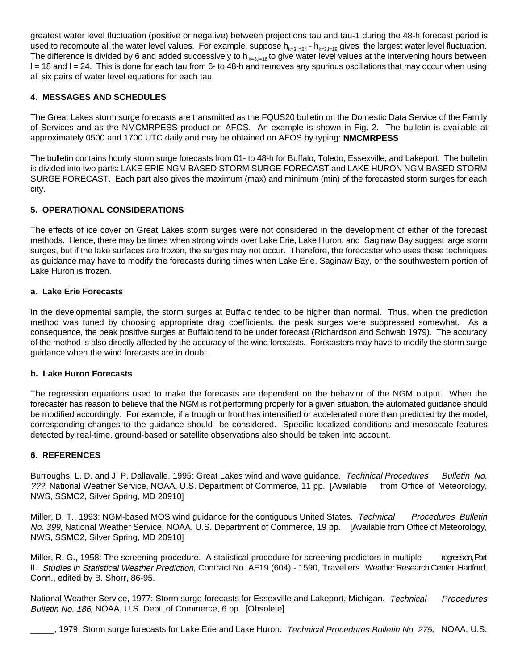greatest water level fluctuation (positive or negative) between projections tau and tau-1 during the 48-h forecast period is used to recompute all the water level values. For example, suppose  $h_{k=3, l=24} - h_{k=3, l=18}$  gives the largest water level fluctuation. The difference is divided by 6 and added successively to h<sub> $k=3,l=18$ </sub> to give water level values at the intervening hours between  $l = 18$  and  $l = 24$ . This is done for each tau from 6- to 48-h and removes any spurious oscillations that may occur when using all six pairs of water level equations for each tau.

#### **4. MESSAGES AND SCHEDULES**

The Great Lakes storm surge forecasts are transmitted as the FQUS20 bulletin on the Domestic Data Service of the Family of Services and as the NMCMRPESS product on AFOS. An example is shown in Fig. 2. The bulletin is available at approximately 0500 and 1700 UTC daily and may be obtained on AFOS by typing: **NMCMRPESS** 

The bulletin contains hourly storm surge forecasts from 01- to 48-h for Buffalo, Toledo, Essexville, and Lakeport. The bulletin is divided into two parts: LAKE ERIE NGM BASED STORM SURGE FORECAST and LAKE HURON NGM BASED STORM SURGE FORECAST. Each part also gives the maximum (max) and minimum (min) of the forecasted storm surges for each city.

## **5. OPERATIONAL CONSIDERATIONS**

The effects of ice cover on Great Lakes storm surges were not considered in the development of either of the forecast methods. Hence, there may be times when strong winds over Lake Erie, Lake Huron, and Saginaw Bay suggest large storm surges, but if the lake surfaces are frozen, the surges may not occur. Therefore, the forecaster who uses these techniques as guidance may have to modify the forecasts during times when Lake Erie, Saginaw Bay, or the southwestern portion of Lake Huron is frozen.

#### **a. Lake Erie Forecasts**

In the developmental sample, the storm surges at Buffalo tended to be higher than normal. Thus, when the prediction method was tuned by choosing appropriate drag coefficients, the peak surges were suppressed somewhat. As a consequence, the peak positive surges at Buffalo tend to be under forecast (Richardson and Schwab 1979). The accuracy of the method is also directly affected by the accuracy of the wind forecasts. Forecasters may have to modify the storm surge guidance when the wind forecasts are in doubt.

#### **b. Lake Huron Forecasts**

The regression equations used to make the forecasts are dependent on the behavior of the NGM output. When the forecaster has reason to believe that the NGM is not performing properly for a given situation, the automated guidance should be modified accordingly. For example, if a trough or front has intensified or accelerated more than predicted by the model, corresponding changes to the guidance should be considered. Specific localized conditions and mesoscale features detected by real-time, ground-based or satellite observations also should be taken into account.

#### **6. REFERENCES**

Burroughs, L. D. and J. P. Dallavalle, 1995: Great Lakes wind and wave guidance. Technical Procedures Bulletin No. ???, National Weather Service, NOAA, U.S. Department of Commerce, 11 pp. [Available from Office of Meteorology, NWS, SSMC2, Silver Spring, MD 20910]

Miller, D. T., 1993: NGM-based MOS wind quidance for the contiguous United States. Technical Procedures Bulletin No. 399, National Weather Service, NOAA, U.S. Department of Commerce, 19 pp. [Available from Office of Meteorology, NWS, SSMC2, Silver Spring, MD 20910]

Miller, R. G., 1958: The screening procedure. A statistical procedure for screening predictors in multiple regression, Part II. Studies in Statistical Weather Prediction, Contract No. AF19 (604) - 1590, Travellers Weather Research Center, Hartford, Conn., edited by B. Shorr, 86-95.

National Weather Service, 1977: Storm surge forecasts for Essexville and Lakeport, Michigan. Technical Procedures Bulletin No. 186, NOAA, U.S. Dept. of Commerce, 6 pp. [Obsolete]

......., 1979: Storm surge forecasts for Lake Erie and Lake Huron. Technical Procedures Bulletin No. 275, NOAA, U.S.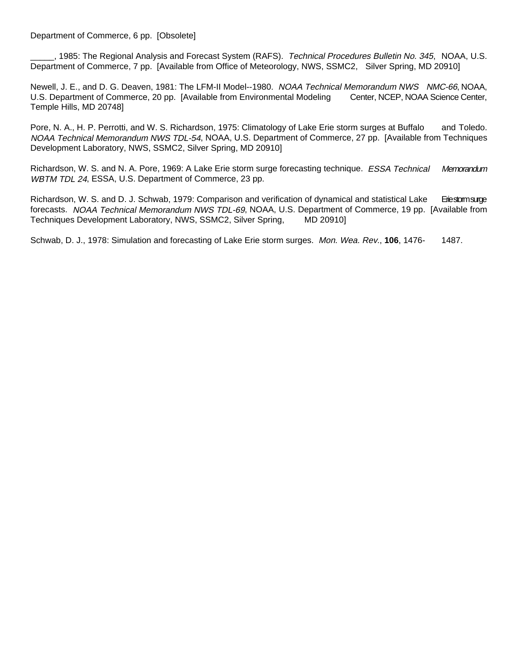#### Department of Commerce, 6 pp. [Obsolete]

., 1985: The Regional Analysis and Forecast System (RAFS). Technical Procedures Bulletin No. 345, NOAA, U.S. Department of Commerce, 7 pp. [Available from Office of Meteorology, NWS, SSMC2, Silver Spring, MD 20910]

Newell, J. E., and D. G. Deaven, 1981: The LFM-II Model--1980. NOAA Technical Memorandum NWS NMC-66, NOAA, U.S. Department of Commerce, 20 pp. [Available from Environmental Modeling Center, NCEP, NOAA Science Center, U.S. Department of Commerce, 20 pp. [Available from Environmental Modeling Temple Hills, MD 20748]

Pore, N. A., H. P. Perrotti, and W. S. Richardson, 1975: Climatology of Lake Erie storm surges at Buffalo and Toledo. NOAA Technical Memorandum NWS TDL-54, NOAA, U.S. Department of Commerce, 27 pp. [Available from Techniques Development Laboratory, NWS, SSMC2, Silver Spring, MD 20910]

Richardson, W. S. and N. A. Pore, 1969: A Lake Erie storm surge forecasting technique. ESSA Technical Memorandum WBTM TDL 24, ESSA, U.S. Department of Commerce, 23 pp.

Richardson, W. S. and D. J. Schwab, 1979: Comparison and verification of dynamical and statistical Lake Eriestom surge forecasts. NOAA Technical Memorandum NWS TDL-69, NOAA, U.S. Department of Commerce, 19 pp. [Available from Techniques Development Laboratory, NWS, SSMC2, Silver Spring, MD 20910]

Schwab, D. J., 1978: Simulation and forecasting of Lake Erie storm surges. Mon. Wea. Rev., **106**, 1476- 1487.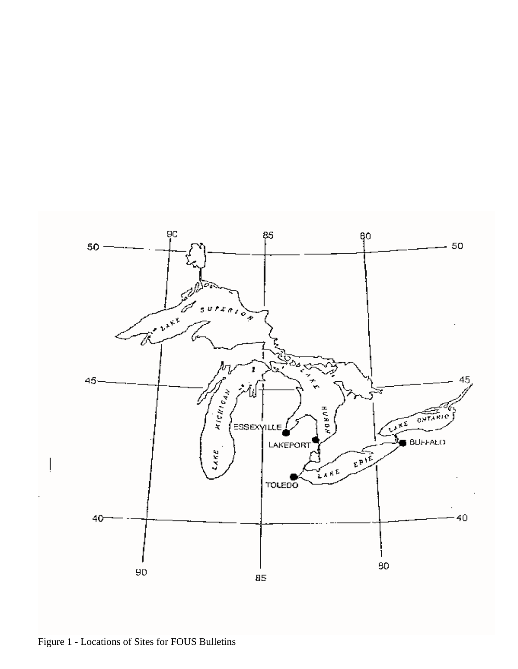

Figure 1 - Locations of Sites for FOUS Bulletins